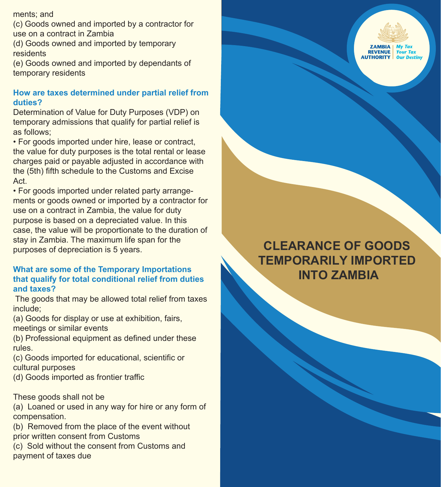ments; and

(c) Goods owned and imported by a contractor for use on a contract in Zambia

(d) Goods owned and imported by temporary residents

(e) Goods owned and imported by dependants of temporary residents

## **How are taxes determined under partial relief from duties?**

Determination of Value for Duty Purposes (VDP) on temporary admissions that qualify for partial relief is as follows;

• For goods imported under hire, lease or contract, the value for duty purposes is the total rental or lease charges paid or payable adjusted in accordance with the (5th) fifth schedule to the Customs and Excise Act.

• For goods imported under related party arrangements or goods owned or imported by a contractor for use on a contract in Zambia, the value for duty purpose is based on a depreciated value. In this case, the value will be proportionate to the duration of stay in Zambia. The maximum life span for the purposes of depreciation is 5 years.

## **What are some of the Temporary Importations that qualify for total conditional relief from duties and taxes?**

 The goods that may be allowed total relief from taxes include;

(a) Goods for display or use at exhibition, fairs, meetings or similar events

(b) Professional equipment as defined under these rules.

(c) Goods imported for educational, scientific or cultural purposes

(d) Goods imported as frontier traffic

## These goods shall not be

(a) Loaned or used in any way for hire or any form of compensation.

(b) Removed from the place of the event without prior written consent from Customs

(c) Sold without the consent from Customs and payment of taxes due



# **CLEARANCE OF GOODS TEMPORARILY IMPORTED INTO ZAMBIA**